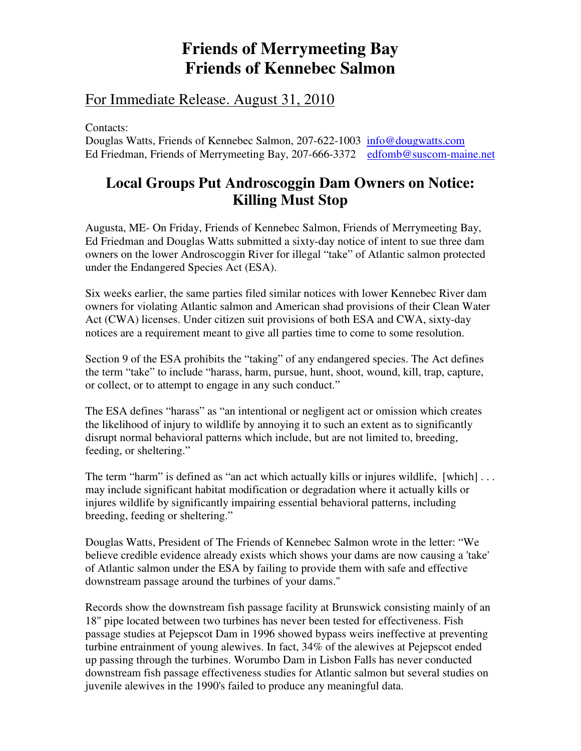## **Friends of Merrymeeting Bay Friends of Kennebec Salmon**

## For Immediate Release. August 31, 2010

Contacts:

Douglas Watts, Friends of Kennebec Salmon, 207-622-1003 info@dougwatts.com Ed Friedman, Friends of Merrymeeting Bay, 207-666-3372 edfomb@suscom-maine.net

## **Local Groups Put Androscoggin Dam Owners on Notice: Killing Must Stop**

Augusta, ME- On Friday, Friends of Kennebec Salmon, Friends of Merrymeeting Bay, Ed Friedman and Douglas Watts submitted a sixty-day notice of intent to sue three dam owners on the lower Androscoggin River for illegal "take" of Atlantic salmon protected under the Endangered Species Act (ESA).

Six weeks earlier, the same parties filed similar notices with lower Kennebec River dam owners for violating Atlantic salmon and American shad provisions of their Clean Water Act (CWA) licenses. Under citizen suit provisions of both ESA and CWA, sixty-day notices are a requirement meant to give all parties time to come to some resolution.

Section 9 of the ESA prohibits the "taking" of any endangered species. The Act defines the term "take" to include "harass, harm, pursue, hunt, shoot, wound, kill, trap, capture, or collect, or to attempt to engage in any such conduct."

The ESA defines "harass" as "an intentional or negligent act or omission which creates the likelihood of injury to wildlife by annoying it to such an extent as to significantly disrupt normal behavioral patterns which include, but are not limited to, breeding, feeding, or sheltering."

The term "harm" is defined as "an act which actually kills or injures wildlife, [which] ... may include significant habitat modification or degradation where it actually kills or injures wildlife by significantly impairing essential behavioral patterns, including breeding, feeding or sheltering."

Douglas Watts, President of The Friends of Kennebec Salmon wrote in the letter: "We believe credible evidence already exists which shows your dams are now causing a 'take' of Atlantic salmon under the ESA by failing to provide them with safe and effective downstream passage around the turbines of your dams."

Records show the downstream fish passage facility at Brunswick consisting mainly of an 18" pipe located between two turbines has never been tested for effectiveness. Fish passage studies at Pejepscot Dam in 1996 showed bypass weirs ineffective at preventing turbine entrainment of young alewives. In fact, 34% of the alewives at Pejepscot ended up passing through the turbines. Worumbo Dam in Lisbon Falls has never conducted downstream fish passage effectiveness studies for Atlantic salmon but several studies on juvenile alewives in the 1990's failed to produce any meaningful data.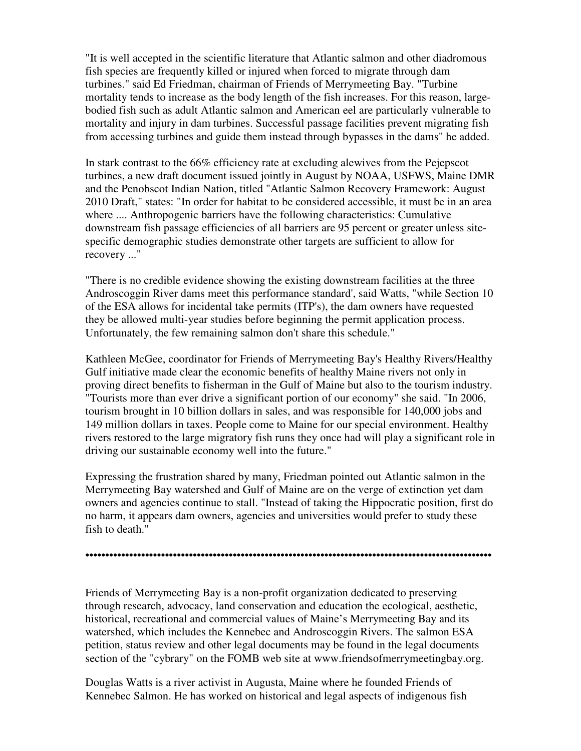"It is well accepted in the scientific literature that Atlantic salmon and other diadromous fish species are frequently killed or injured when forced to migrate through dam turbines." said Ed Friedman, chairman of Friends of Merrymeeting Bay. "Turbine mortality tends to increase as the body length of the fish increases. For this reason, largebodied fish such as adult Atlantic salmon and American eel are particularly vulnerable to mortality and injury in dam turbines. Successful passage facilities prevent migrating fish from accessing turbines and guide them instead through bypasses in the dams" he added.

In stark contrast to the 66% efficiency rate at excluding alewives from the Pejepscot turbines, a new draft document issued jointly in August by NOAA, USFWS, Maine DMR and the Penobscot Indian Nation, titled "Atlantic Salmon Recovery Framework: August 2010 Draft," states: "In order for habitat to be considered accessible, it must be in an area where .... Anthropogenic barriers have the following characteristics: Cumulative downstream fish passage efficiencies of all barriers are 95 percent or greater unless sitespecific demographic studies demonstrate other targets are sufficient to allow for recovery ..."

"There is no credible evidence showing the existing downstream facilities at the three Androscoggin River dams meet this performance standard', said Watts, "while Section 10 of the ESA allows for incidental take permits (ITP's), the dam owners have requested they be allowed multi-year studies before beginning the permit application process. Unfortunately, the few remaining salmon don't share this schedule."

Kathleen McGee, coordinator for Friends of Merrymeeting Bay's Healthy Rivers/Healthy Gulf initiative made clear the economic benefits of healthy Maine rivers not only in proving direct benefits to fisherman in the Gulf of Maine but also to the tourism industry. "Tourists more than ever drive a significant portion of our economy" she said. "In 2006, tourism brought in 10 billion dollars in sales, and was responsible for 140,000 jobs and 149 million dollars in taxes. People come to Maine for our special environment. Healthy rivers restored to the large migratory fish runs they once had will play a significant role in driving our sustainable economy well into the future."

Expressing the frustration shared by many, Friedman pointed out Atlantic salmon in the Merrymeeting Bay watershed and Gulf of Maine are on the verge of extinction yet dam owners and agencies continue to stall. "Instead of taking the Hippocratic position, first do no harm, it appears dam owners, agencies and universities would prefer to study these fish to death."

••••••••••••••••••••••••••••••••••••••••••••••••••••••••••••••••••••••••••••••••••••••••••••••••••••••

Friends of Merrymeeting Bay is a non-profit organization dedicated to preserving through research, advocacy, land conservation and education the ecological, aesthetic, historical, recreational and commercial values of Maine's Merrymeeting Bay and its watershed, which includes the Kennebec and Androscoggin Rivers. The salmon ESA petition, status review and other legal documents may be found in the legal documents section of the "cybrary" on the FOMB web site at www.friendsofmerrymeetingbay.org.

Douglas Watts is a river activist in Augusta, Maine where he founded Friends of Kennebec Salmon. He has worked on historical and legal aspects of indigenous fish